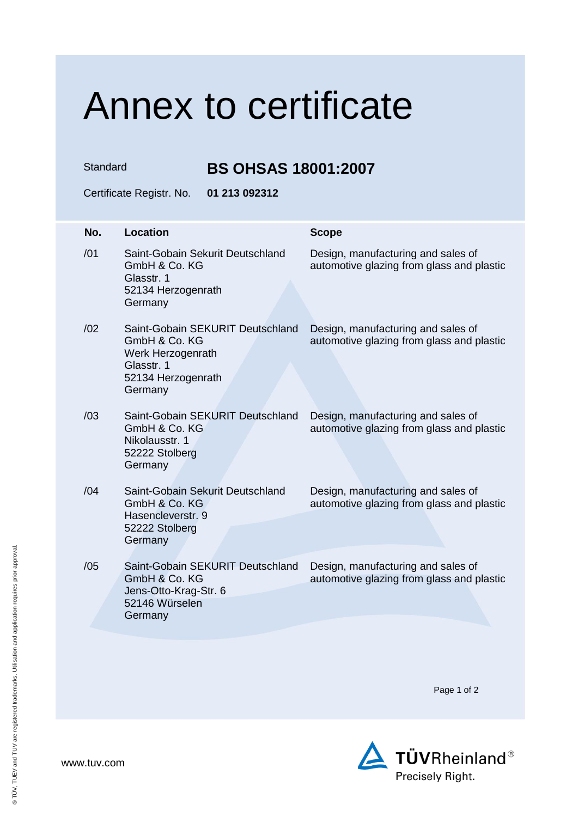## Annex to certificate

Standard **BS OHSAS 18001:2007**

Certificate Registr. No. **01 213 092312**

| No. | <b>Location</b>                                                                                                       | <b>Scope</b>                                                                    |
|-----|-----------------------------------------------------------------------------------------------------------------------|---------------------------------------------------------------------------------|
| /01 | Saint-Gobain Sekurit Deutschland<br>GmbH & Co. KG<br>Glasstr. 1<br>52134 Herzogenrath<br>Germany                      | Design, manufacturing and sales of<br>automotive glazing from glass and plastic |
| /02 | Saint-Gobain SEKURIT Deutschland<br>GmbH & Co. KG<br>Werk Herzogenrath<br>Glasstr. 1<br>52134 Herzogenrath<br>Germany | Design, manufacturing and sales of<br>automotive glazing from glass and plastic |
| /03 | Saint-Gobain SEKURIT Deutschland<br>GmbH & Co. KG<br>Nikolausstr. 1<br>52222 Stolberg<br>Germany                      | Design, manufacturing and sales of<br>automotive glazing from glass and plastic |
| /04 | Saint-Gobain Sekurit Deutschland<br>GmbH & Co. KG<br>Hasencleverstr, 9<br>52222 Stolberg<br>Germany                   | Design, manufacturing and sales of<br>automotive glazing from glass and plastic |
| /05 | Saint-Gobain SEKURIT Deutschland<br>GmbH & Co. KG<br>Jens-Otto-Krag-Str. 6<br>52146 Würselen<br>Germany               | Design, manufacturing and sales of<br>automotive glazing from glass and plastic |

Page 1 of 2